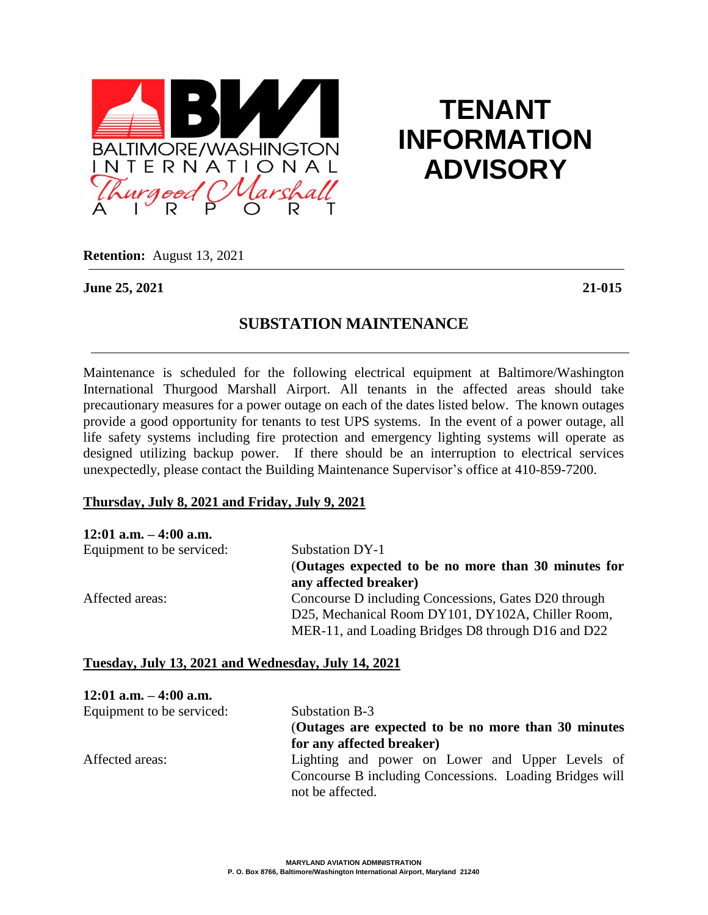

# **TENANT INFORMATION ADVISORY**

**Retention:** August 13, 2021

**June 25, 2021 21-015** 

# **SUBSTATION MAINTENANCE**

Maintenance is scheduled for the following electrical equipment at Baltimore/Washington International Thurgood Marshall Airport. All tenants in the affected areas should take precautionary measures for a power outage on each of the dates listed below. The known outages provide a good opportunity for tenants to test UPS systems. In the event of a power outage, all life safety systems including fire protection and emergency lighting systems will operate as designed utilizing backup power. If there should be an interruption to electrical services unexpectedly, please contact the Building Maintenance Supervisor's office at 410-859-7200.

#### **Thursday, July 8, 2021 and Friday, July 9, 2021**

| $12:01$ a.m. $-4:00$ a.m. |                                                                                                                                                                 |
|---------------------------|-----------------------------------------------------------------------------------------------------------------------------------------------------------------|
| Equipment to be serviced: | Substation DY-1                                                                                                                                                 |
|                           | (Outages expected to be no more than 30 minutes for<br>any affected breaker)                                                                                    |
| Affected areas:           | Concourse D including Concessions, Gates D20 through<br>D25, Mechanical Room DY101, DY102A, Chiller Room,<br>MER-11, and Loading Bridges D8 through D16 and D22 |

## **Tuesday, July 13, 2021 and Wednesday, July 14, 2021**

| $12:01$ a.m. $-4:00$ a.m. |                                                         |
|---------------------------|---------------------------------------------------------|
| Equipment to be serviced: | Substation B-3                                          |
|                           | (Outages are expected to be no more than 30 minutes)    |
|                           | for any affected breaker)                               |
| Affected areas:           | Lighting and power on Lower and Upper Levels of         |
|                           | Concourse B including Concessions. Loading Bridges will |
|                           | not be affected.                                        |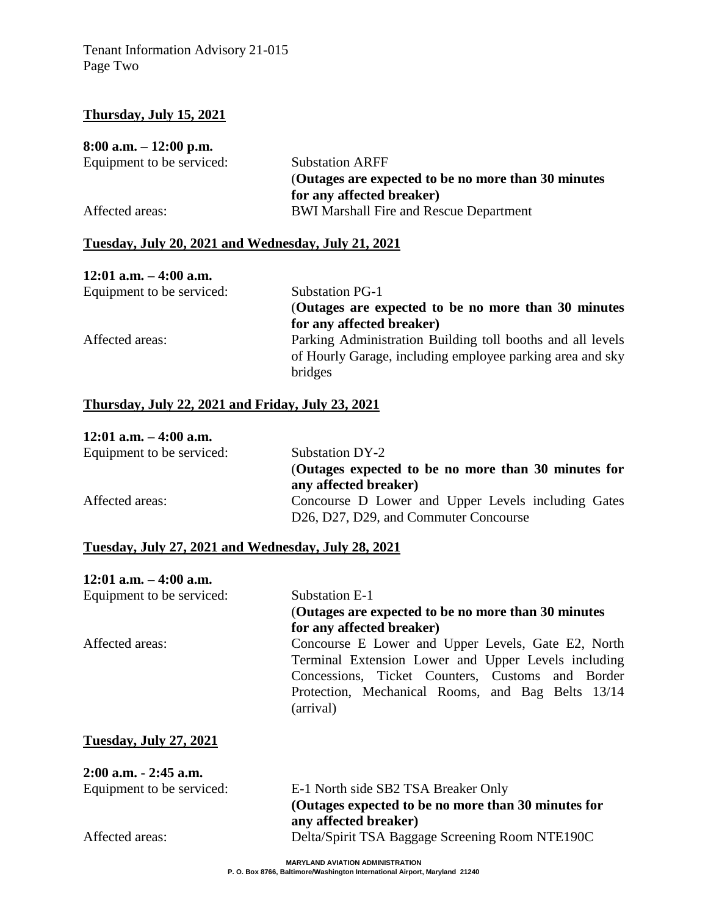## **Thursday, July 15, 2021**

#### **8:00 a.m. – 12:00 p.m.**

| Equipment to be serviced: | <b>Substation ARFF</b>                               |
|---------------------------|------------------------------------------------------|
|                           | (Outages are expected to be no more than 30 minutes) |
|                           | for any affected breaker)                            |
| Affected areas:           | <b>BWI Marshall Fire and Rescue Department</b>       |

## **Tuesday, July 20, 2021 and Wednesday, July 21, 2021**

# **12:01 a.m. – 4:00 a.m.**

| Equipment to be serviced: | <b>Substation PG-1</b>                                     |
|---------------------------|------------------------------------------------------------|
|                           | (Outages are expected to be no more than 30 minutes)       |
|                           | for any affected breaker)                                  |
| Affected areas:           | Parking Administration Building toll booths and all levels |
|                           | of Hourly Garage, including employee parking area and sky  |
|                           | bridges                                                    |

## **Thursday, July 22, 2021 and Friday, July 23, 2021**

#### **12:01 a.m. – 4:00 a.m.**

| Equipment to be serviced: | Substation DY-2                                                                                                                    |  |
|---------------------------|------------------------------------------------------------------------------------------------------------------------------------|--|
|                           | (Outages expected to be no more than 30 minutes for                                                                                |  |
|                           | any affected breaker)                                                                                                              |  |
| Affected areas:           | Concourse D Lower and Upper Levels including Gates<br>D <sub>26</sub> , D <sub>27</sub> , D <sub>29</sub> , and Commuter Concourse |  |

#### **Tuesday, July 27, 2021 and Wednesday, July 28, 2021**

| $12:01$ a.m. $-4:00$ a.m. |                                                                |
|---------------------------|----------------------------------------------------------------|
| Equipment to be serviced: | Substation E-1                                                 |
|                           | (Outages are expected to be no more than 30 minutes)           |
|                           | for any affected breaker)                                      |
| Affected areas:           | Concourse E Lower and Upper Levels, Gate E2, North             |
|                           | Terminal Extension Lower and Upper Levels including            |
|                           | Concessions, Ticket Counters, Customs and Border               |
|                           | Protection, Mechanical Rooms, and Bag Belts 13/14<br>(arrival) |

#### **Tuesday, July 27, 2021**

| $2:00$ a.m. $-2:45$ a.m.  |                                                     |
|---------------------------|-----------------------------------------------------|
| Equipment to be serviced: | E-1 North side SB2 TSA Breaker Only                 |
|                           | (Outages expected to be no more than 30 minutes for |
|                           | any affected breaker)                               |
| Affected areas:           | Delta/Spirit TSA Baggage Screening Room NTE190C     |